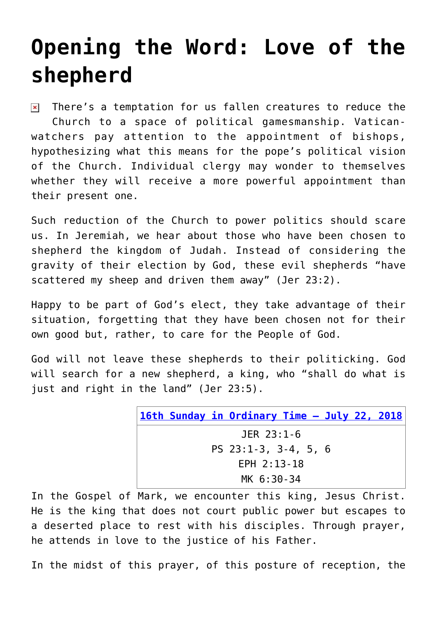## **[Opening the Word: Love of the](https://www.osvnews.com/2018/07/22/opening-the-word-love-of-the-shepherd/) [shepherd](https://www.osvnews.com/2018/07/22/opening-the-word-love-of-the-shepherd/)**

 $\triangleright$  There's a temptation for us fallen creatures to reduce the Church to a space of political gamesmanship. Vaticanwatchers pay attention to the appointment of bishops, hypothesizing what this means for the pope's political vision of the Church. Individual clergy may wonder to themselves whether they will receive a more powerful appointment than their present one.

Such reduction of the Church to power politics should scare us. In Jeremiah, we hear about those who have been chosen to shepherd the kingdom of Judah. Instead of considering the gravity of their election by God, these evil shepherds "have scattered my sheep and driven them away" (Jer 23:2).

Happy to be part of God's elect, they take advantage of their situation, forgetting that they have been chosen not for their own good but, rather, to care for the People of God.

God will not leave these shepherds to their politicking. God will search for a new shepherd, a king, who "shall do what is just and right in the land" (Jer 23:5).

| 16th Sunday in Ordinary Time - July 22, 2018 |
|----------------------------------------------|
| JER 23:1-6                                   |
| PS $23:1-3$ , $3-4$ , $5$ , 6                |
| $EPH$ 2:13-18                                |
| MK 6:30-34                                   |

In the Gospel of Mark, we encounter this king, Jesus Christ. He is the king that does not court public power but escapes to a deserted place to rest with his disciples. Through prayer, he attends in love to the justice of his Father.

In the midst of this prayer, of this posture of reception, the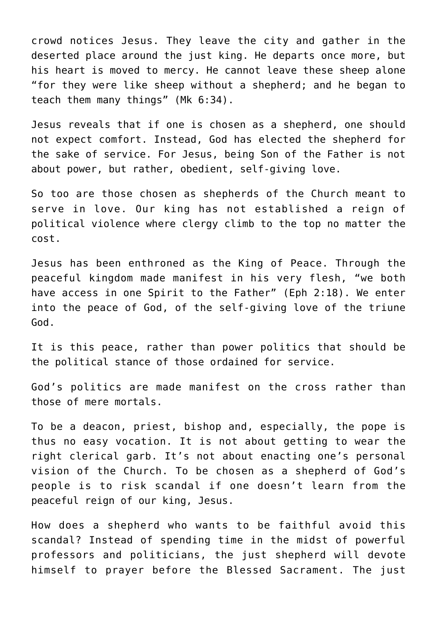crowd notices Jesus. They leave the city and gather in the deserted place around the just king. He departs once more, but his heart is moved to mercy. He cannot leave these sheep alone "for they were like sheep without a shepherd; and he began to teach them many things" (Mk 6:34).

Jesus reveals that if one is chosen as a shepherd, one should not expect comfort. Instead, God has elected the shepherd for the sake of service. For Jesus, being Son of the Father is not about power, but rather, obedient, self-giving love.

So too are those chosen as shepherds of the Church meant to serve in love. Our king has not established a reign of political violence where clergy climb to the top no matter the cost.

Jesus has been enthroned as the King of Peace. Through the peaceful kingdom made manifest in his very flesh, "we both have access in one Spirit to the Father" (Eph 2:18). We enter into the peace of God, of the self-giving love of the triune God.

It is this peace, rather than power politics that should be the political stance of those ordained for service.

God's politics are made manifest on the cross rather than those of mere mortals.

To be a deacon, priest, bishop and, especially, the pope is thus no easy vocation. It is not about getting to wear the right clerical garb. It's not about enacting one's personal vision of the Church. To be chosen as a shepherd of God's people is to risk scandal if one doesn't learn from the peaceful reign of our king, Jesus.

How does a shepherd who wants to be faithful avoid this scandal? Instead of spending time in the midst of powerful professors and politicians, the just shepherd will devote himself to prayer before the Blessed Sacrament. The just